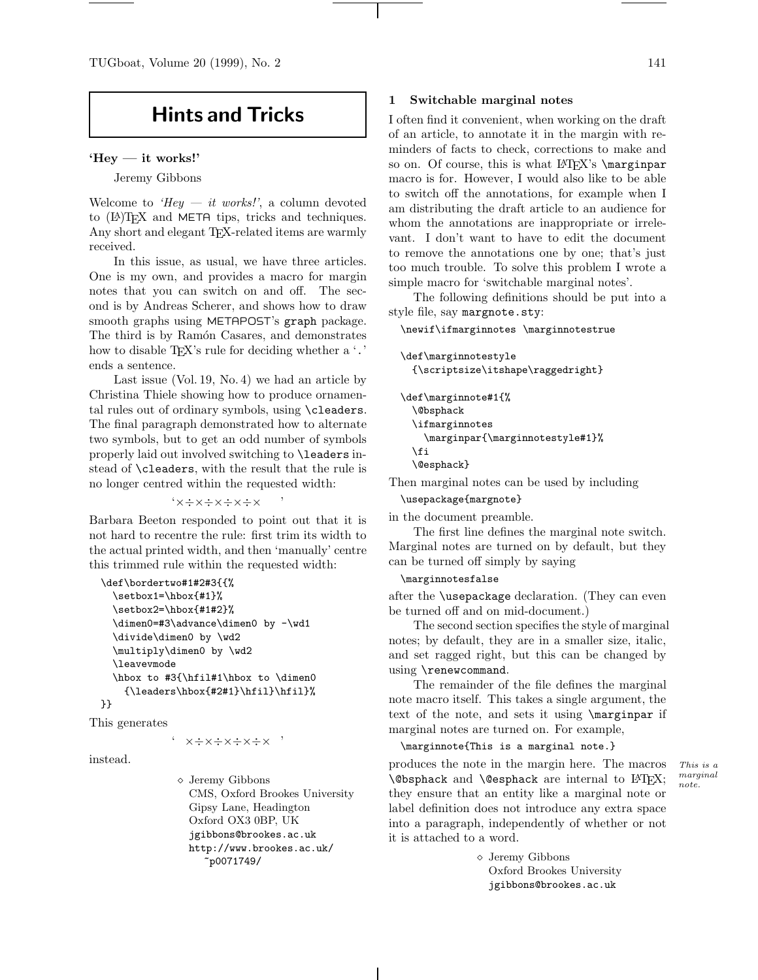TUGboat, Volume 20 (1999), No. 2 141

# **Hints and Tricks**

#### **'Hey — it works!'**

Jeremy Gibbons

Welcome to 'Hey  $-$  it works!', a column devoted to (LA)TEX and META tips, tricks and techniques. Any short and elegant TEX-related items are warmly received.

In this issue, as usual, we have three articles. One is my own, and provides a macro for margin notes that you can switch on and off. The second is by Andreas Scherer, and shows how to draw smooth graphs using METAPOST's graph package. The third is by Ramón Casares, and demonstrates how to disable TEX's rule for deciding whether a '.' ends a sentence.

Last issue (Vol. 19, No. 4) we had an article by Christina Thiele showing how to produce ornamental rules out of ordinary symbols, using \cleaders. The final paragraph demonstrated how to alternate two symbols, but to get an odd number of symbols properly laid out involved switching to \leaders instead of \cleaders, with the result that the rule is no longer centred within the requested width:

#### '×÷×÷×÷×÷× '

Barbara Beeton responded to point out that it is not hard to recentre the rule: first trim its width to the actual printed width, and then 'manually' centre this trimmed rule within the requested width:

```
\def\bordertwo#1#2#3{{%
 \setbox1=\hbox{#1}%
  \setbox2=\hbox{#1#2}%
 \dimen0=#3\advance\dimen0 by -\wd1
 \divide\dimen0 by \wd2
 \multiply\dimen0 by \wd2
 \leavevmode
  \hbox to #3{\hfil#1\hbox to \dimen0
    {\leaders\hbox{#2#1}\hfil}\hfil}%
}}
```
This generates

## $'$   $\times$   $\div$   $\times$   $\div$   $\times$   $\div$   $\times$   $\div$   $\times$   $\div$

instead.

 Jeremy Gibbons CMS, Oxford Brookes University Gipsy Lane, Headington Oxford OX3 0BP, UK jgibbons@brookes.ac.uk http://www.brookes.ac.uk/ ~p0071749/

#### **1 Switchable marginal notes**

I often find it convenient, when working on the draft of an article, to annotate it in the margin with reminders of facts to check, corrections to make and so on. Of course, this is what  $\mathbb{F}X$ 's  $\text{marginpar}$ macro is for. However, I would also like to be able to switch off the annotations, for example when I am distributing the draft article to an audience for whom the annotations are inappropriate or irrelevant. I don't want to have to edit the document to remove the annotations one by one; that's just too much trouble. To solve this problem I wrote a simple macro for 'switchable marginal notes'.

The following definitions should be put into a style file, say margnote.sty:

\newif\ifmarginnotes \marginnotestrue

\def\marginnotestyle {\scriptsize\itshape\raggedright} \def\marginnote#1{% \@bsphack \ifmarginnotes \marginpar{\marginnotestyle#1}% \fi \@esphack}

Then marginal notes can be used by including

\usepackage{margnote}

in the document preamble.

The first line defines the marginal note switch. Marginal notes are turned on by default, but they can be turned off simply by saying

#### \marginnotesfalse

after the \usepackage declaration. (They can even be turned off and on mid-document.)

The second section specifies the style of marginal notes; by default, they are in a smaller size, italic, and set ragged right, but this can be changed by using \renewcommand.

The remainder of the file defines the marginal note macro itself. This takes a single argument, the text of the note, and sets it using \marginpar if marginal notes are turned on. For example,

\marginnote{This is a marginal note.}

produces the note in the margin here. The macros  $This is a$  $\Theta$  \@bsphack and  $\Theta$  \@esphack are internal to LATFX; they ensure that an entity like a marginal note or label definition does not introduce any extra space into a paragraph, independently of whether or not it is attached to a word.

> Jeremy Gibbons Oxford Brookes University jgibbons@brookes.ac.uk

 $note.$